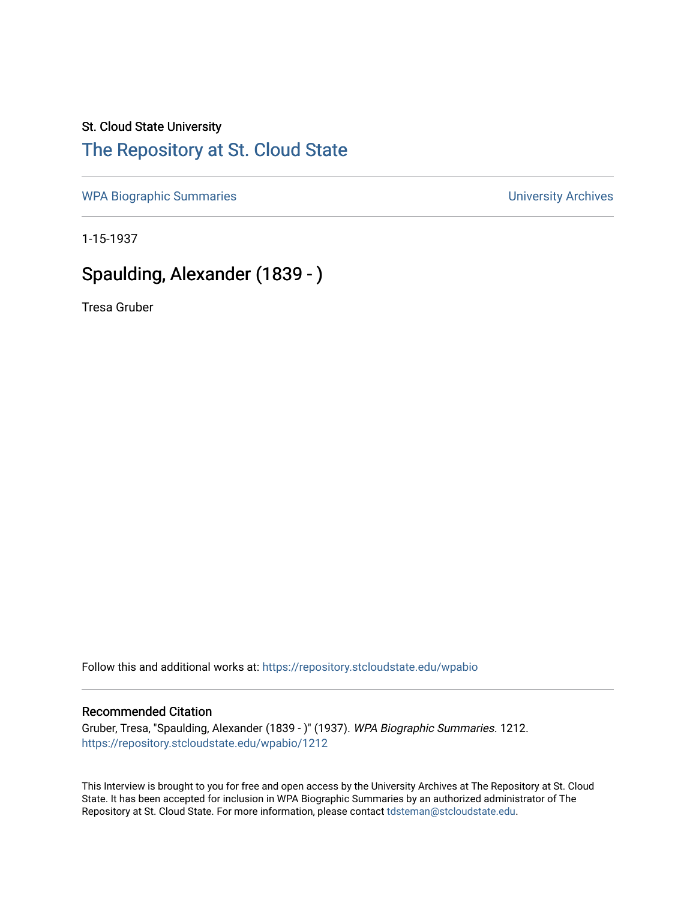## St. Cloud State University

## [The Repository at St. Cloud State](https://repository.stcloudstate.edu/)

[WPA Biographic Summaries](https://repository.stcloudstate.edu/wpabio) **WPA Biographic Summaries University Archives** 

1-15-1937

# Spaulding, Alexander (1839 - )

Tresa Gruber

Follow this and additional works at: [https://repository.stcloudstate.edu/wpabio](https://repository.stcloudstate.edu/wpabio?utm_source=repository.stcloudstate.edu%2Fwpabio%2F1212&utm_medium=PDF&utm_campaign=PDFCoverPages) 

#### Recommended Citation

Gruber, Tresa, "Spaulding, Alexander (1839 - )" (1937). WPA Biographic Summaries. 1212. [https://repository.stcloudstate.edu/wpabio/1212](https://repository.stcloudstate.edu/wpabio/1212?utm_source=repository.stcloudstate.edu%2Fwpabio%2F1212&utm_medium=PDF&utm_campaign=PDFCoverPages) 

This Interview is brought to you for free and open access by the University Archives at The Repository at St. Cloud State. It has been accepted for inclusion in WPA Biographic Summaries by an authorized administrator of The Repository at St. Cloud State. For more information, please contact [tdsteman@stcloudstate.edu.](mailto:tdsteman@stcloudstate.edu)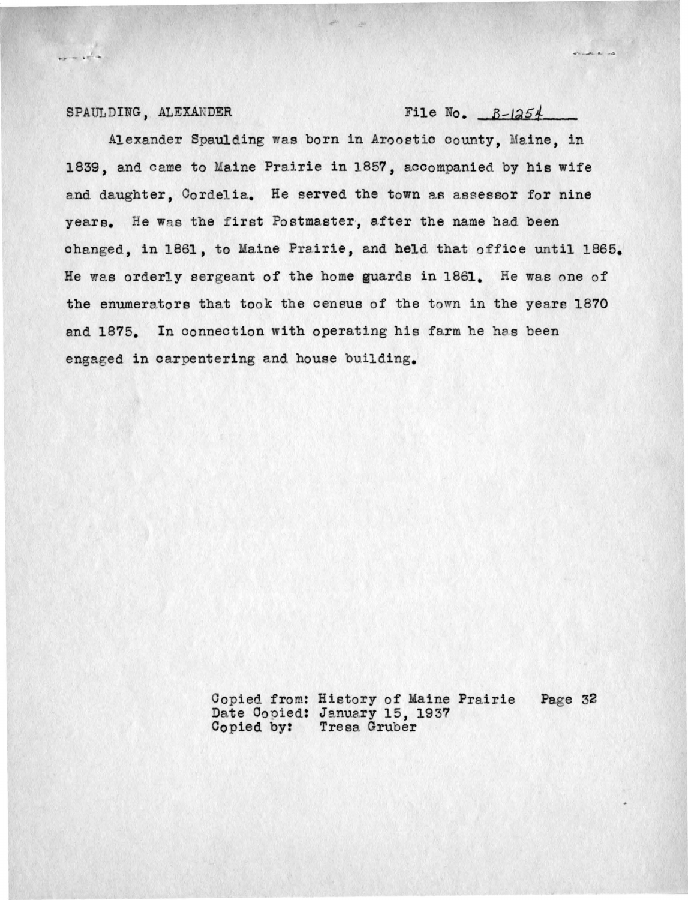### SPAULDING, ALEXANDER File No.  $B-\vert 254\vert$

 $\frac{1}{2} \frac{1}{2} \frac{1}{2} \frac{1}{2} \frac{1}{2} \frac{1}{2} \frac{1}{2} \frac{1}{2} \frac{1}{2} \frac{1}{2} \frac{1}{2} \frac{1}{2} \frac{1}{2} \frac{1}{2} \frac{1}{2} \frac{1}{2} \frac{1}{2} \frac{1}{2} \frac{1}{2} \frac{1}{2} \frac{1}{2} \frac{1}{2} \frac{1}{2} \frac{1}{2} \frac{1}{2} \frac{1}{2} \frac{1}{2} \frac{1}{2} \frac{1}{2} \frac{1}{2} \frac{1}{2} \frac{$ 

 $\overline{\phantom{a}}$ 

Alexander Spaulding was born in Aroostic county, Maine, in 1839, and came to Maine Prairie in 1857, accompanied by his wife and daughter, Cordelia. He served the town as assessor for nine years. He was the first Postmaster, after the name had been changed, in 1861, to Maine Prairie, and held that office until 1865. He was orderly sergeant of the home guards in 1861. He was one of the enumerators that took the census of the town in the years 1870 and 1875. In connection with operating his farm he has been engaged in carpentering and house building.

> Copied from: History of Maine Prairie Page 32 Date Copied: January 15, 1937 Copied by: Tresa Gruber